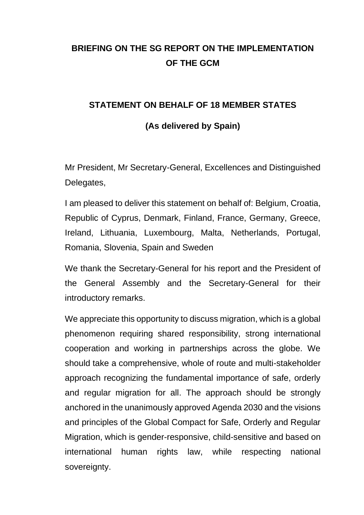## **BRIEFING ON THE SG REPORT ON THE IMPLEMENTATION OF THE GCM**

## **STATEMENT ON BEHALF OF 18 MEMBER STATES**

## **(As delivered by Spain)**

Mr President, Mr Secretary-General, Excellences and Distinguished Delegates,

I am pleased to deliver this statement on behalf of: Belgium, Croatia, Republic of Cyprus, Denmark, Finland, France, Germany, Greece, Ireland, Lithuania, Luxembourg, Malta, Netherlands, Portugal, Romania, Slovenia, Spain and Sweden

We thank the Secretary-General for his report and the President of the General Assembly and the Secretary-General for their introductory remarks.

We appreciate this opportunity to discuss migration, which is a global phenomenon requiring shared responsibility, strong international cooperation and working in partnerships across the globe. We should take a comprehensive, whole of route and multi-stakeholder approach recognizing the fundamental importance of safe, orderly and regular migration for all. The approach should be strongly anchored in the unanimously approved Agenda 2030 and the visions and principles of the Global Compact for Safe, Orderly and Regular Migration, which is gender-responsive, child-sensitive and based on international human rights law, while respecting national sovereignty.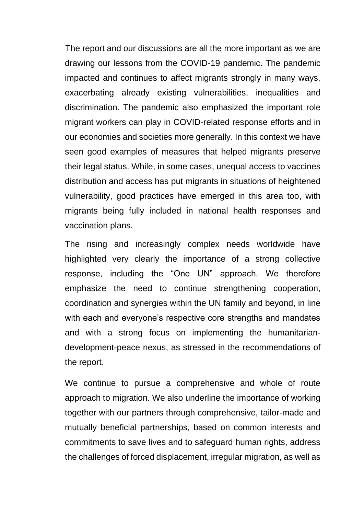The report and our discussions are all the more important as we are drawing our lessons from the COVID-19 pandemic. The pandemic impacted and continues to affect migrants strongly in many ways, exacerbating already existing vulnerabilities, inequalities and discrimination. The pandemic also emphasized the important role migrant workers can play in COVID-related response efforts and in our economies and societies more generally. In this context we have seen good examples of measures that helped migrants preserve their legal status. While, in some cases, unequal access to vaccines distribution and access has put migrants in situations of heightened vulnerability, good practices have emerged in this area too, with migrants being fully included in national health responses and vaccination plans.

The rising and increasingly complex needs worldwide have highlighted very clearly the importance of a strong collective response, including the "One UN" approach. We therefore emphasize the need to continue strengthening cooperation, coordination and synergies within the UN family and beyond, in line with each and everyone's respective core strengths and mandates and with a strong focus on implementing the humanitariandevelopment-peace nexus, as stressed in the recommendations of the report.

We continue to pursue a comprehensive and whole of route approach to migration. We also underline the importance of working together with our partners through comprehensive, tailor-made and mutually beneficial partnerships, based on common interests and commitments to save lives and to safeguard human rights, address the challenges of forced displacement, irregular migration, as well as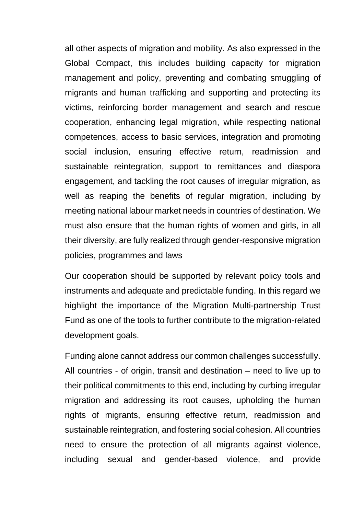all other aspects of migration and mobility. As also expressed in the Global Compact, this includes building capacity for migration management and policy, preventing and combating smuggling of migrants and human trafficking and supporting and protecting its victims, reinforcing border management and search and rescue cooperation, enhancing legal migration, while respecting national competences, access to basic services, integration and promoting social inclusion, ensuring effective return, readmission and sustainable reintegration, support to remittances and diaspora engagement, and tackling the root causes of irregular migration, as well as reaping the benefits of regular migration, including by meeting national labour market needs in countries of destination. We must also ensure that the human rights of women and girls, in all their diversity, are fully realized through gender-responsive migration policies, programmes and laws

Our cooperation should be supported by relevant policy tools and instruments and adequate and predictable funding. In this regard we highlight the importance of the Migration Multi-partnership Trust Fund as one of the tools to further contribute to the migration-related development goals.

Funding alone cannot address our common challenges successfully. All countries - of origin, transit and destination – need to live up to their political commitments to this end, including by curbing irregular migration and addressing its root causes, upholding the human rights of migrants, ensuring effective return, readmission and sustainable reintegration, and fostering social cohesion. All countries need to ensure the protection of all migrants against violence, including sexual and gender-based violence, and provide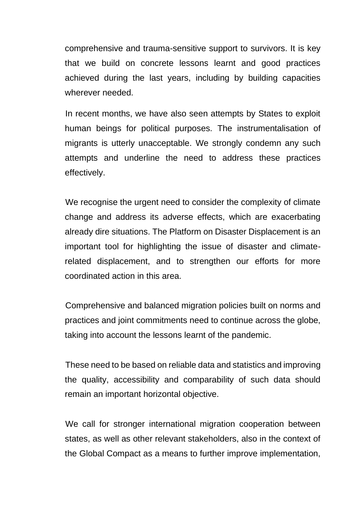comprehensive and trauma-sensitive support to survivors. It is key that we build on concrete lessons learnt and good practices achieved during the last years, including by building capacities wherever needed.

In recent months, we have also seen attempts by States to exploit human beings for political purposes. The instrumentalisation of migrants is utterly unacceptable. We strongly condemn any such attempts and underline the need to address these practices effectively.

We recognise the urgent need to consider the complexity of climate change and address its adverse effects, which are exacerbating already dire situations. The Platform on Disaster Displacement is an important tool for highlighting the issue of disaster and climaterelated displacement, and to strengthen our efforts for more coordinated action in this area.

Comprehensive and balanced migration policies built on norms and practices and joint commitments need to continue across the globe, taking into account the lessons learnt of the pandemic.

These need to be based on reliable data and statistics and improving the quality, accessibility and comparability of such data should remain an important horizontal objective.

We call for stronger international migration cooperation between states, as well as other relevant stakeholders, also in the context of the Global Compact as a means to further improve implementation,